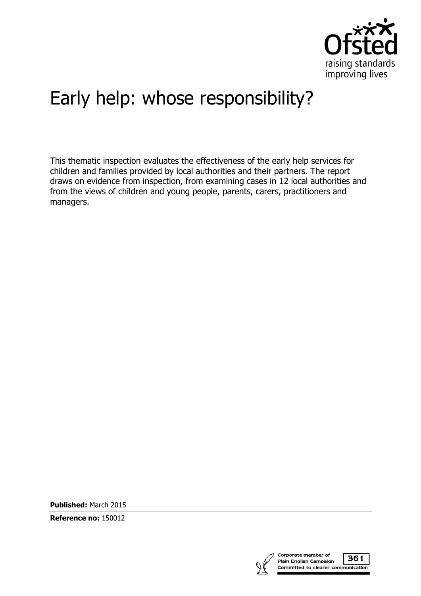

# Early help: whose responsibility?

This thematic inspection evaluates the effectiveness of the early help services for children and families provided by local authorities and their partners. The report draws on evidence from inspection, from examining cases in 12 local authorities and from the views of children and young people, parents, carers, practitioners and managers.

**Published:** March 2015

**Reference no:** 150012

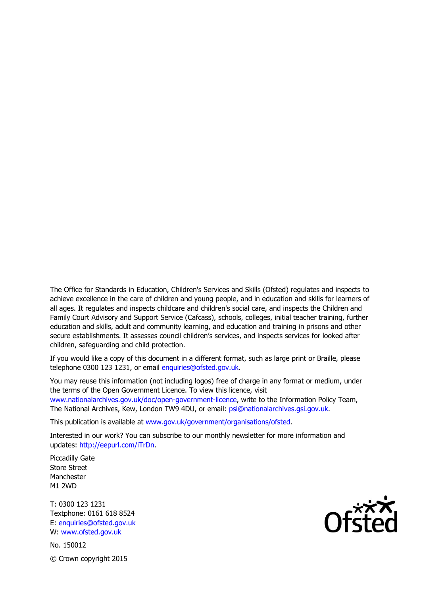The Office for Standards in Education, Children's Services and Skills (Ofsted) regulates and inspects to achieve excellence in the care of children and young people, and in education and skills for learners of all ages. It regulates and inspects childcare and children's social care, and inspects the Children and Family Court Advisory and Support Service (Cafcass), schools, colleges, initial teacher training, further education and skills, adult and community learning, and education and training in prisons and other secure establishments. It assesses council children's services, and inspects services for looked after children, safeguarding and child protection.

If you would like a copy of this document in a different format, such as large print or Braille, please telephone 0300 123 1231, or email enquiries@ofsted.gov.uk.

You may reuse this information (not including logos) free of charge in any format or medium, under the terms of the Open Government Licence. To view this licence, visit www.nationalarchives.gov.uk/doc/open-government-licence, write to the Information Policy Team, The National Archives, Kew, London TW9 4DU, or email: psi@nationalarchives.gsi.gov.uk.

This publication is available at www.gov.uk/government/organisations/ofsted.

Interested in our work? You can subscribe to our monthly newsletter for more information and updates: http://eepurl.com/iTrDn.

Piccadilly Gate Store Street Manchester M1 2WD

T: 0300 123 1231 Textphone: 0161 618 8524 E: enquiries@ofsted.gov.uk W: www.ofsted.gov.uk

No. 150012 © Crown copyright 2015

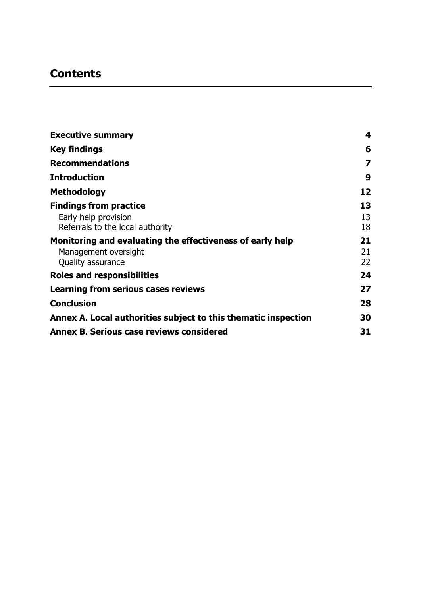## **Contents**

| <b>Executive summary</b>                                       | $\overline{\mathbf{4}}$ |
|----------------------------------------------------------------|-------------------------|
| <b>Key findings</b>                                            | 6                       |
| <b>Recommendations</b>                                         | 7                       |
| <b>Introduction</b>                                            | 9                       |
| <b>Methodology</b>                                             | 12                      |
| <b>Findings from practice</b>                                  | 13                      |
| Early help provision                                           | 13                      |
| Referrals to the local authority                               | 18                      |
| Monitoring and evaluating the effectiveness of early help      | 21                      |
| Management oversight                                           | 21                      |
| Quality assurance                                              | 22                      |
| <b>Roles and responsibilities</b>                              | 24                      |
| Learning from serious cases reviews                            | 27                      |
| <b>Conclusion</b>                                              | 28                      |
| Annex A. Local authorities subject to this thematic inspection | 30                      |
| <b>Annex B. Serious case reviews considered</b>                | 31                      |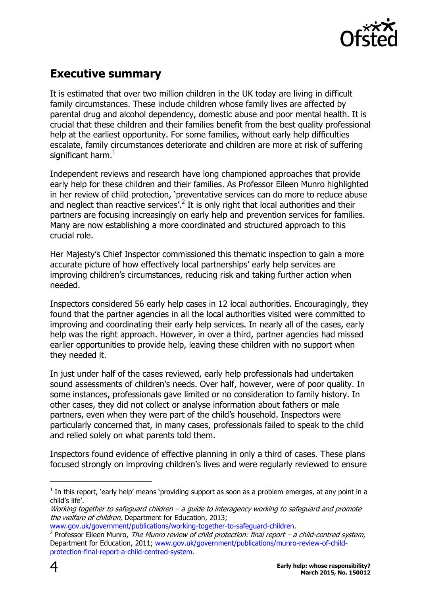

## <span id="page-3-0"></span>**Executive summary**

It is estimated that over two million children in the UK today are living in difficult family circumstances. These include children whose family lives are affected by parental drug and alcohol dependency, domestic abuse and poor mental health. It is crucial that these children and their families benefit from the best quality professional help at the earliest opportunity. For some families, without early help difficulties escalate, family circumstances deteriorate and children are more at risk of suffering significant harm. $<sup>1</sup>$ </sup>

Independent reviews and research have long championed approaches that provide early help for these children and their families. As Professor Eileen Munro highlighted in her review of child protection, 'preventative services can do more to reduce abuse and neglect than reactive services'.<sup>2</sup> It is only right that local authorities and their partners are focusing increasingly on early help and prevention services for families. Many are now establishing a more coordinated and structured approach to this crucial role.

Her Majesty's Chief Inspector commissioned this thematic inspection to gain a more accurate picture of how effectively local partnerships' early help services are improving children's circumstances, reducing risk and taking further action when needed.

Inspectors considered 56 early help cases in 12 local authorities. Encouragingly, they found that the partner agencies in all the local authorities visited were committed to improving and coordinating their early help services. In nearly all of the cases, early help was the right approach. However, in over a third, partner agencies had missed earlier opportunities to provide help, leaving these children with no support when they needed it.

In just under half of the cases reviewed, early help professionals had undertaken sound assessments of children's needs. Over half, however, were of poor quality. In some instances, professionals gave limited or no consideration to family history. In other cases, they did not collect or analyse information about fathers or male partners, even when they were part of the child's household. Inspectors were particularly concerned that, in many cases, professionals failed to speak to the child and relied solely on what parents told them.

Inspectors found evidence of effective planning in only a third of cases. These plans focused strongly on improving children's lives and were regularly reviewed to ensure

 $\overline{a}$ 

 $<sup>1</sup>$  In this report, `early help' means `providing support as soon as a problem emerges, at any point in a</sup> child's life'.

Working together to safeguard children – a guide to interagency working to safeguard and promote the welfare of children, Department for Education, 2013;

[www.gov.uk/government/publications/working-together-to-safeguard-children.](file:///C:/Users/UDurojaiye/AppData/Local/Microsoft/Windows/Temporary%20Internet%20Files/Content.Outlook/AHDZ1NCH/www.gov.uk/government/publications/working-together-to-safeguard-children)

<sup>&</sup>lt;sup>2</sup> Professor Eileen Munro, *The Munro review of child protection: final report – a child-centred system*, Department for Education, 2011; [www.gov.uk/government/publications/munro-review-of-child](file:///C:/Users/UDurojaiye/AppData/Local/Microsoft/Windows/Temporary%20Internet%20Files/Content.Outlook/AHDZ1NCH/www.gov.uk/government/publications/munro-review-of-child-protection-final-report-a-child-centred-system)[protection-final-report-a-child-centred-system.](file:///C:/Users/UDurojaiye/AppData/Local/Microsoft/Windows/Temporary%20Internet%20Files/Content.Outlook/AHDZ1NCH/www.gov.uk/government/publications/munro-review-of-child-protection-final-report-a-child-centred-system)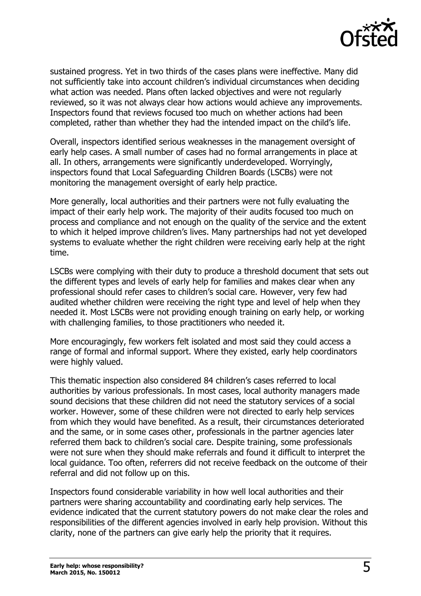

sustained progress. Yet in two thirds of the cases plans were ineffective. Many did not sufficiently take into account children's individual circumstances when deciding what action was needed. Plans often lacked objectives and were not regularly reviewed, so it was not always clear how actions would achieve any improvements. Inspectors found that reviews focused too much on whether actions had been completed, rather than whether they had the intended impact on the child's life.

Overall, inspectors identified serious weaknesses in the management oversight of early help cases. A small number of cases had no formal arrangements in place at all. In others, arrangements were significantly underdeveloped. Worryingly, inspectors found that Local Safeguarding Children Boards (LSCBs) were not monitoring the management oversight of early help practice.

More generally, local authorities and their partners were not fully evaluating the impact of their early help work. The majority of their audits focused too much on process and compliance and not enough on the quality of the service and the extent to which it helped improve children's lives. Many partnerships had not yet developed systems to evaluate whether the right children were receiving early help at the right time.

LSCBs were complying with their duty to produce a threshold document that sets out the different types and levels of early help for families and makes clear when any professional should refer cases to children's social care. However, very few had audited whether children were receiving the right type and level of help when they needed it. Most LSCBs were not providing enough training on early help, or working with challenging families, to those practitioners who needed it.

More encouragingly, few workers felt isolated and most said they could access a range of formal and informal support. Where they existed, early help coordinators were highly valued.

This thematic inspection also considered 84 children's cases referred to local authorities by various professionals. In most cases, local authority managers made sound decisions that these children did not need the statutory services of a social worker. However, some of these children were not directed to early help services from which they would have benefited. As a result, their circumstances deteriorated and the same, or in some cases other, professionals in the partner agencies later referred them back to children's social care. Despite training, some professionals were not sure when they should make referrals and found it difficult to interpret the local guidance. Too often, referrers did not receive feedback on the outcome of their referral and did not follow up on this.

Inspectors found considerable variability in how well local authorities and their partners were sharing accountability and coordinating early help services. The evidence indicated that the current statutory powers do not make clear the roles and responsibilities of the different agencies involved in early help provision. Without this clarity, none of the partners can give early help the priority that it requires.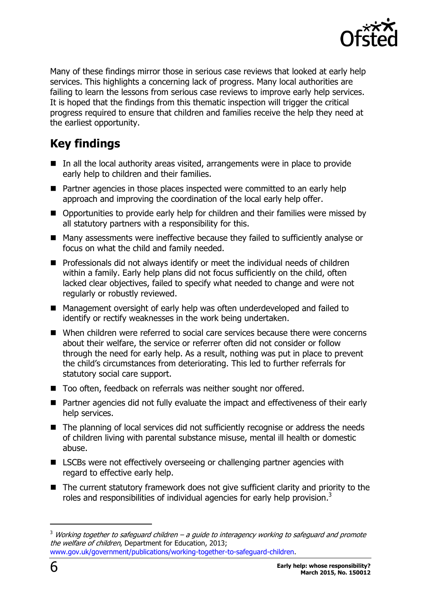

Many of these findings mirror those in serious case reviews that looked at early help services. This highlights a concerning lack of progress. Many local authorities are failing to learn the lessons from serious case reviews to improve early help services. It is hoped that the findings from this thematic inspection will trigger the critical progress required to ensure that children and families receive the help they need at the earliest opportunity.

# <span id="page-5-0"></span>**Key findings**

- In all the local authority areas visited, arrangements were in place to provide early help to children and their families.
- **Partner agencies in those places inspected were committed to an early help** approach and improving the coordination of the local early help offer.
- Opportunities to provide early help for children and their families were missed by all statutory partners with a responsibility for this.
- Many assessments were ineffective because they failed to sufficiently analyse or focus on what the child and family needed.
- **Professionals did not always identify or meet the individual needs of children** within a family. Early help plans did not focus sufficiently on the child, often lacked clear objectives, failed to specify what needed to change and were not regularly or robustly reviewed.
- Management oversight of early help was often underdeveloped and failed to identify or rectify weaknesses in the work being undertaken.
- When children were referred to social care services because there were concerns about their welfare, the service or referrer often did not consider or follow through the need for early help. As a result, nothing was put in place to prevent the child's circumstances from deteriorating. This led to further referrals for statutory social care support.
- Too often, feedback on referrals was neither sought nor offered.
- Partner agencies did not fully evaluate the impact and effectiveness of their early help services.
- The planning of local services did not sufficiently recognise or address the needs of children living with parental substance misuse, mental ill health or domestic abuse.
- LSCBs were not effectively overseeing or challenging partner agencies with regard to effective early help.
- The current statutory framework does not give sufficient clarity and priority to the roles and responsibilities of individual agencies for early help provision.<sup>3</sup>

 $\overline{a}$ 

 $3$  Working together to safeguard children  $-$  a guide to interagency working to safeguard and promote the welfare of children, Department for Education, 2013; [www.gov.uk/government/publications/working-together-to-safeguard-children.](file:///C:/Users/UDurojaiye/AppData/Local/Microsoft/Windows/Temporary%20Internet%20Files/Content.Outlook/AHDZ1NCH/www.gov.uk/government/publications/working-together-to-safeguard-children)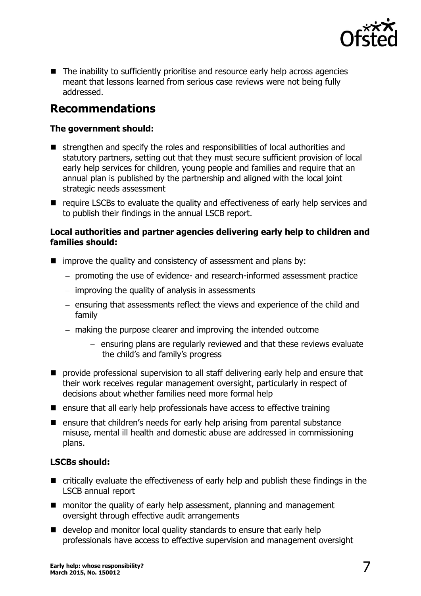

■ The inability to sufficiently prioritise and resource early help across agencies meant that lessons learned from serious case reviews were not being fully addressed.

## <span id="page-6-0"></span>**Recommendations**

#### **The government should:**

- strengthen and specify the roles and responsibilities of local authorities and statutory partners, setting out that they must secure sufficient provision of local early help services for children, young people and families and require that an annual plan is published by the partnership and aligned with the local joint strategic needs assessment
- $\blacksquare$  require LSCBs to evaluate the quality and effectiveness of early help services and to publish their findings in the annual LSCB report.

#### **Local authorities and partner agencies delivering early help to children and families should:**

- $\blacksquare$  improve the quality and consistency of assessment and plans by:
	- $-$  promoting the use of evidence- and research-informed assessment practice
	- $-$  improving the quality of analysis in assessments
	- ensuring that assessments reflect the views and experience of the child and family
	- making the purpose clearer and improving the intended outcome
		- $-$  ensuring plans are regularly reviewed and that these reviews evaluate the child's and family's progress
- **P** provide professional supervision to all staff delivering early help and ensure that their work receives regular management oversight, particularly in respect of decisions about whether families need more formal help
- $\blacksquare$  ensure that all early help professionals have access to effective training
- **E** ensure that children's needs for early help arising from parental substance misuse, mental ill health and domestic abuse are addressed in commissioning plans.

#### **LSCBs should:**

- critically evaluate the effectiveness of early help and publish these findings in the LSCB annual report
- **n** monitor the quality of early help assessment, planning and management oversight through effective audit arrangements
- e develop and monitor local quality standards to ensure that early help professionals have access to effective supervision and management oversight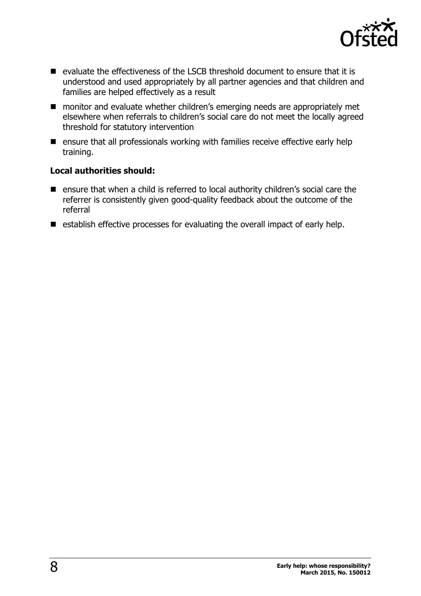

- $\blacksquare$  evaluate the effectiveness of the LSCB threshold document to ensure that it is understood and used appropriately by all partner agencies and that children and families are helped effectively as a result
- monitor and evaluate whether children's emerging needs are appropriately met elsewhere when referrals to children's social care do not meet the locally agreed threshold for statutory intervention
- $\blacksquare$  ensure that all professionals working with families receive effective early help training.

#### **Local authorities should:**

- ensure that when a child is referred to local authority children's social care the referrer is consistently given good-quality feedback about the outcome of the referral
- $\blacksquare$  establish effective processes for evaluating the overall impact of early help.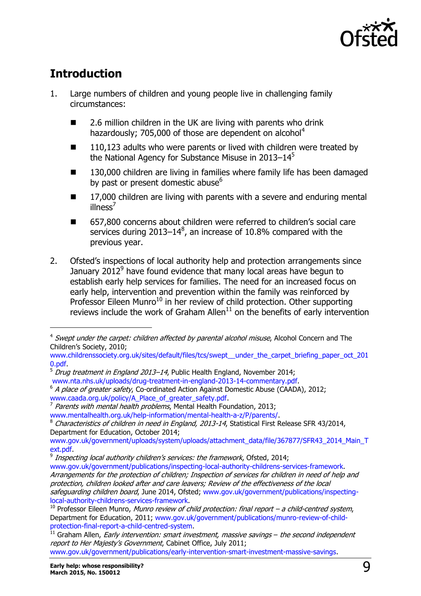

# <span id="page-8-0"></span>**Introduction**

 $\overline{a}$ 

- 1. Large numbers of children and young people live in challenging family circumstances:
	- 2.6 million children in the UK are living with parents who drink hazardously; 705,000 of those are dependent on alcohol<sup>4</sup>
	- $\blacksquare$  110,123 adults who were parents or lived with children were treated by the National Agency for Substance Misuse in 2013–14<sup>5</sup>
	- 130,000 children are living in families where family life has been damaged by past or present domestic abuse<sup>6</sup>
	- 17,000 children are living with parents with a severe and enduring mental  $illness<sup>7</sup>$
	- 657,800 concerns about children were referred to children's social care services during 2013–14 $^8$ , an increase of 10.8% compared with the previous year.
- 2. Ofsted's inspections of local authority help and protection arrangements since January 2012<sup>9</sup> have found evidence that many local areas have begun to establish early help services for families. The need for an increased focus on early help, intervention and prevention within the family was reinforced by Professor Eileen Munro<sup>10</sup> in her review of child protection. Other supporting reviews include the work of Graham Allen<sup>11</sup> on the benefits of early intervention

<sup>&</sup>lt;sup>4</sup> Swept under the carpet: children affected by parental alcohol misuse, Alcohol Concern and The Children's Society, 2010;

[www.childrenssociety.org.uk/sites/default/files/tcs/swept\\_\\_under\\_the\\_carpet\\_briefing\\_paper\\_oct\\_201](http://www.childrenssociety.org.uk/sites/default/files/tcs/swept__under_the_carpet_briefing_paper_oct_2010.pdf) [0.pdf.](http://www.childrenssociety.org.uk/sites/default/files/tcs/swept__under_the_carpet_briefing_paper_oct_2010.pdf)

 $5$  Drua treatment in England 2013–14, Public Health England, November 2014; [www.nta.nhs.uk/uploads/drug-treatment-in-england-2013-14-commentary.pdf.](file:///C:/Users/UDurojaiye/AppData/Local/Microsoft/Windows/Temporary%20Internet%20Files/Content.Outlook/AHDZ1NCH/www.nta.nhs.uk/uploads/drug-treatment-in-england-2013-14-commentary.pdf)

<sup>&</sup>lt;sup>6</sup> A place of greater safety, Co-ordinated Action Against Domestic Abuse (CAADA), 2012; [www.caada.org.uk/policy/A\\_Place\\_of\\_greater\\_safety.pdf.](http://www.caada.org.uk/policy/A_Place_of_greater_safety.pdf)

<sup>&</sup>lt;sup>7</sup> Parents with mental health problems, Mental Health Foundation, 2013;

[www.mentalhealth.org.uk/help-information/mental-health-a-z/P/parents/.](file:///C:/Users/UDurojaiye/AppData/Local/Microsoft/Windows/Temporary%20Internet%20Files/Content.Outlook/AHDZ1NCH/www.mentalhealth.org.uk/help-information/mental-health-a-z/P/parents/)

<sup>&</sup>lt;sup>8</sup> Characteristics of children in need in England, 2013-14, Statistical First Release SFR 43/2014, Department for Education, October 2014;

[www.gov.uk/government/uploads/system/uploads/attachment\\_data/file/367877/SFR43\\_2014\\_Main\\_T](file:///C:/Users/UDurojaiye/AppData/Local/Microsoft/Windows/Temporary%20Internet%20Files/Content.Outlook/AHDZ1NCH/www.gov.uk/government/uploads/system/uploads/attachment_data/file/367877/SFR43_2014_Main_Text.pdf) [ext.pdf.](file:///C:/Users/UDurojaiye/AppData/Local/Microsoft/Windows/Temporary%20Internet%20Files/Content.Outlook/AHDZ1NCH/www.gov.uk/government/uploads/system/uploads/attachment_data/file/367877/SFR43_2014_Main_Text.pdf)<br><sup>9</sup> *Incnos* 

Inspecting local authority children's services: the framework, Ofsted, 2014;

[www.gov.uk/government/publications/inspecting-local-authority-childrens-services-framework.](file:///C:/Users/Caroline/Documents/01%20WORK/WORK/OFSTED/Early%20Help/www.gov.uk/government/publications/inspecting-local-authority-childrens-services-framework) Arrangements for the protection of children; Inspection of services for children in need of help and protection, children looked after and care leavers; Review of the effectiveness of the local safequarding children board, June 2014, Ofsted; [www.gov.uk/government/publications/inspecting](http://www.gov.uk/government/publications/inspecting-local-authority-childrens-services-framework)[local-authority-childrens-services-framework.](http://www.gov.uk/government/publications/inspecting-local-authority-childrens-services-framework)

 $10$  Professor Eileen Munro, Munro review of child protection: final report – a child-centred system, Department for Education, 2011; [www.gov.uk/government/publications/munro-review-of-child](http://www.gov.uk/government/publications/munro-review-of-child-protection-final-report-a-child-centred-system)[protection-final-report-a-child-centred-system.](http://www.gov.uk/government/publications/munro-review-of-child-protection-final-report-a-child-centred-system)

 $^{11}$  Graham Allen, *Early intervention: smart investment, massive savings* – the second independent report to Her Majesty's Government, Cabinet Office, July 2011;

[www.gov.uk/government/publications/early-intervention-smart-investment-massive-savings.](file:///C:/Users/UDurojaiye/AppData/Local/Microsoft/Windows/Temporary%20Internet%20Files/Content.Outlook/AHDZ1NCH/www.gov.uk/government/publications/early-intervention-smart-investment-massive-savings)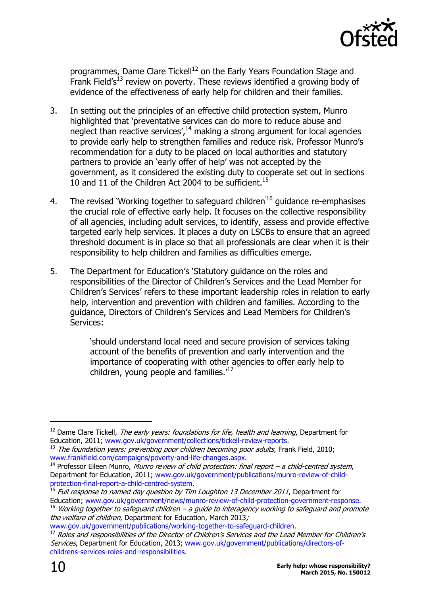

programmes, Dame Clare Tickell<sup>12</sup> on the Early Years Foundation Stage and Frank Field's<sup>13</sup> review on poverty. These reviews identified a growing body of evidence of the effectiveness of early help for children and their families.

- 3. In setting out the principles of an effective child protection system, Munro highlighted that 'preventative services can do more to reduce abuse and neglect than reactive services', $14$  making a strong argument for local agencies to provide early help to strengthen families and reduce risk. Professor Munro's recommendation for a duty to be placed on local authorities and statutory partners to provide an 'early offer of help' was not accepted by the government, as it considered the existing duty to cooperate set out in sections 10 and 11 of the Children Act 2004 to be sufficient.<sup>15</sup>
- 4. The revised 'Working together to safeguard children<sup>'16</sup> guidance re-emphasises the crucial role of effective early help. It focuses on the collective responsibility of all agencies, including adult services, to identify, assess and provide effective targeted early help services. It places a duty on LSCBs to ensure that an agreed threshold document is in place so that all professionals are clear when it is their responsibility to help children and families as difficulties emerge.
- 5. The Department for Education's 'Statutory guidance on the roles and responsibilities of the Director of Children's Services and the Lead Member for Children's Services' refers to these important leadership roles in relation to early help, intervention and prevention with children and families. According to the guidance, Directors of Children's Services and Lead Members for Children's Services:

'should understand local need and secure provision of services taking account of the benefits of prevention and early intervention and the importance of cooperating with other agencies to offer early help to children, young people and families.'<sup>17</sup>

j

 $12$  Dame Clare Tickell, *The early vears: foundations for life, health and learning*, Department for Education, 2011; [www.gov.uk/government/collections/tickell-review-reports.](file:///C:/Users/UDurojaiye/AppData/Local/Microsoft/Windows/Temporary%20Internet%20Files/Content.Outlook/AHDZ1NCH/www.gov.uk/government/collections/tickell-review-reports)

<sup>13</sup> The foundation years: preventing poor children becoming poor adults, Frank Field, 2010; [www.frankfield.com/campaigns/poverty-and-life-changes.aspx.](file:///C:/Users/UDurojaiye/AppData/Local/Microsoft/Windows/Temporary%20Internet%20Files/Content.Outlook/AHDZ1NCH/www.frankfield.com/campaigns/poverty-and-life-changes.aspx)

 $14$  Professor Eileen Munro, Munro review of child protection: final report – a child-centred system, Department for Education, 2011; [www.gov.uk/government/publications/munro-review-of-child](http://www.gov.uk/government/publications/munro-review-of-child-protection-final-report-a-child-centred-system)[protection-final-report-a-child-centred-system.](http://www.gov.uk/government/publications/munro-review-of-child-protection-final-report-a-child-centred-system)

<sup>&</sup>lt;sup>15</sup> Full response to named day question by Tim Loughton 13 December 2011, Department for Education; [www.gov.uk/government/news/munro-review-of-child-protection-government-response.](file:///C:/Users/UDurojaiye/AppData/Local/Microsoft/Windows/Temporary%20Internet%20Files/Content.Outlook/AHDZ1NCH/www.gov.uk/government/news/munro-review-of-child-protection-government-response)

 $16$  Working together to safeguard children – a guide to interagency working to safeguard and promote the welfare of children, Department for Education, March 2013;

[www.gov.uk/government/publications/working-together-to-safeguard-children.](http://www.gov.uk/government/publications/working-together-to-safeguard-children)

 $^{17}$  Roles and responsibilities of the Director of Children's Services and the Lead Member for Children's Services, Department for Education, 2013; [www.gov.uk/government/publications/directors-of](file:///C:/Users/UDurojaiye/AppData/Local/Microsoft/Windows/Temporary%20Internet%20Files/Content.Outlook/AHDZ1NCH/www.gov.uk/government/publications/directors-of-childrens-services-roles-and-responsibilities)[childrens-services-roles-and-responsibilities.](file:///C:/Users/UDurojaiye/AppData/Local/Microsoft/Windows/Temporary%20Internet%20Files/Content.Outlook/AHDZ1NCH/www.gov.uk/government/publications/directors-of-childrens-services-roles-and-responsibilities)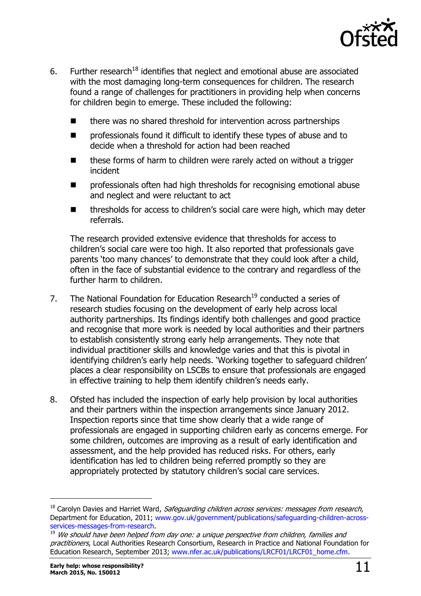

- 6. Further research<sup>18</sup> identifies that neglect and emotional abuse are associated with the most damaging long-term consequences for children. The research found a range of challenges for practitioners in providing help when concerns for children begin to emerge. These included the following:
	- there was no shared threshold for intervention across partnerships
	- **Part** professionals found it difficult to identify these types of abuse and to decide when a threshold for action had been reached
	- these forms of harm to children were rarely acted on without a trigger incident
	- professionals often had high thresholds for recognising emotional abuse and neglect and were reluctant to act
	- thresholds for access to children's social care were high, which may deter referrals.

The research provided extensive evidence that thresholds for access to children's social care were too high. It also reported that professionals gave parents 'too many chances' to demonstrate that they could look after a child, often in the face of substantial evidence to the contrary and regardless of the further harm to children.

- 7. The National Foundation for Education Research<sup>19</sup> conducted a series of research studies focusing on the development of early help across local authority partnerships. Its findings identify both challenges and good practice and recognise that more work is needed by local authorities and their partners to establish consistently strong early help arrangements. They note that individual practitioner skills and knowledge varies and that this is pivotal in identifying children's early help needs. 'Working together to safeguard children' places a clear responsibility on LSCBs to ensure that professionals are engaged in effective training to help them identify children's needs early.
- 8. Ofsted has included the inspection of early help provision by local authorities and their partners within the inspection arrangements since January 2012. Inspection reports since that time show clearly that a wide range of professionals are engaged in supporting children early as concerns emerge. For some children, outcomes are improving as a result of early identification and assessment, and the help provided has reduced risks. For others, early identification has led to children being referred promptly so they are appropriately protected by statutory children's social care services.

-

 $18$  Carolyn Davies and Harriet Ward, Safeguarding children across services: messages from research, Department for Education, 2011; [www.gov.uk/government/publications/safeguarding-children-across](file:///C:/Users/UDurojaiye/AppData/Local/Microsoft/Windows/Temporary%20Internet%20Files/Content.Outlook/AHDZ1NCH/www.gov.uk/government/publications/safeguarding-children-across-services-messages-from-research)[services-messages-from-research.](file:///C:/Users/UDurojaiye/AppData/Local/Microsoft/Windows/Temporary%20Internet%20Files/Content.Outlook/AHDZ1NCH/www.gov.uk/government/publications/safeguarding-children-across-services-messages-from-research)

<sup>&</sup>lt;sup>19</sup> We should have been helped from day one: a unique perspective from children, families and practitioners, Local Authorities Research Consortium, Research in Practice and National Foundation for Education Research, September 2013; [www.nfer.ac.uk/publications/LRCF01/LRCF01\\_home.cfm.](file:///C:/Users/UDurojaiye/AppData/Local/Microsoft/Windows/Temporary%20Internet%20Files/Content.Outlook/AHDZ1NCH/www.nfer.ac.uk/publications/LRCF01/LRCF01_home.cfm)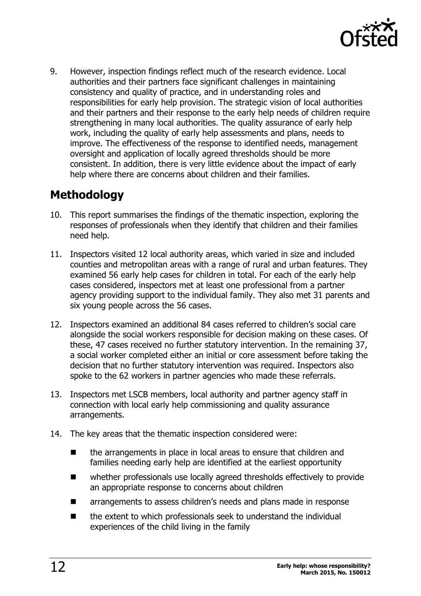

9. However, inspection findings reflect much of the research evidence. Local authorities and their partners face significant challenges in maintaining consistency and quality of practice, and in understanding roles and responsibilities for early help provision. The strategic vision of local authorities and their partners and their response to the early help needs of children require strengthening in many local authorities. The quality assurance of early help work, including the quality of early help assessments and plans, needs to improve. The effectiveness of the response to identified needs, management oversight and application of locally agreed thresholds should be more consistent. In addition, there is very little evidence about the impact of early help where there are concerns about children and their families.

## <span id="page-11-0"></span>**Methodology**

- 10. This report summarises the findings of the thematic inspection, exploring the responses of professionals when they identify that children and their families need help.
- 11. Inspectors visited 12 local authority areas, which varied in size and included counties and metropolitan areas with a range of rural and urban features. They examined 56 early help cases for children in total. For each of the early help cases considered, inspectors met at least one professional from a partner agency providing support to the individual family. They also met 31 parents and six young people across the 56 cases.
- 12. Inspectors examined an additional 84 cases referred to children's social care alongside the social workers responsible for decision making on these cases. Of these, 47 cases received no further statutory intervention. In the remaining 37, a social worker completed either an initial or core assessment before taking the decision that no further statutory intervention was required. Inspectors also spoke to the 62 workers in partner agencies who made these referrals.
- 13. Inspectors met LSCB members, local authority and partner agency staff in connection with local early help commissioning and quality assurance arrangements.
- 14. The key areas that the thematic inspection considered were:
	- the arrangements in place in local areas to ensure that children and families needing early help are identified at the earliest opportunity
	- whether professionals use locally agreed thresholds effectively to provide an appropriate response to concerns about children
	- **E** arrangements to assess children's needs and plans made in response
	- $\blacksquare$  the extent to which professionals seek to understand the individual experiences of the child living in the family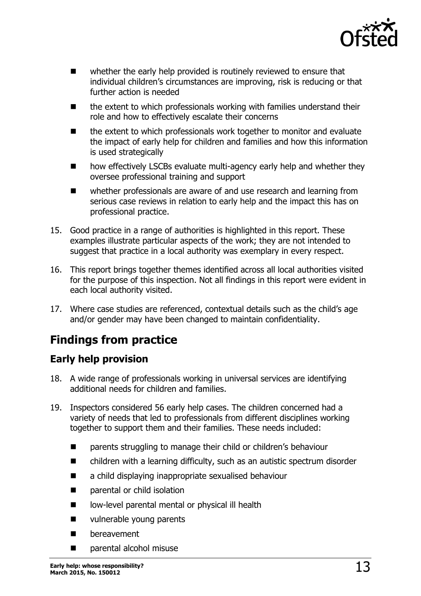

- whether the early help provided is routinely reviewed to ensure that individual children's circumstances are improving, risk is reducing or that further action is needed
- the extent to which professionals working with families understand their role and how to effectively escalate their concerns
- the extent to which professionals work together to monitor and evaluate the impact of early help for children and families and how this information is used strategically
- how effectively LSCBs evaluate multi-agency early help and whether they oversee professional training and support
- whether professionals are aware of and use research and learning from serious case reviews in relation to early help and the impact this has on professional practice.
- 15. Good practice in a range of authorities is highlighted in this report. These examples illustrate particular aspects of the work; they are not intended to suggest that practice in a local authority was exemplary in every respect.
- 16. This report brings together themes identified across all local authorities visited for the purpose of this inspection. Not all findings in this report were evident in each local authority visited.
- 17. Where case studies are referenced, contextual details such as the child's age and/or gender may have been changed to maintain confidentiality.

# <span id="page-12-0"></span>**Findings from practice**

### <span id="page-12-1"></span>**Early help provision**

- 18. A wide range of professionals working in universal services are identifying additional needs for children and families.
- 19. Inspectors considered 56 early help cases. The children concerned had a variety of needs that led to professionals from different disciplines working together to support them and their families. These needs included:
	- parents struggling to manage their child or children's behaviour
	- children with a learning difficulty, such as an autistic spectrum disorder
	- a child displaying inappropriate sexualised behaviour
	- **EXECUTE:** parental or child isolation
	- low-level parental mental or physical ill health
	- **u** vulnerable young parents
	- bereavement
	- parental alcohol misuse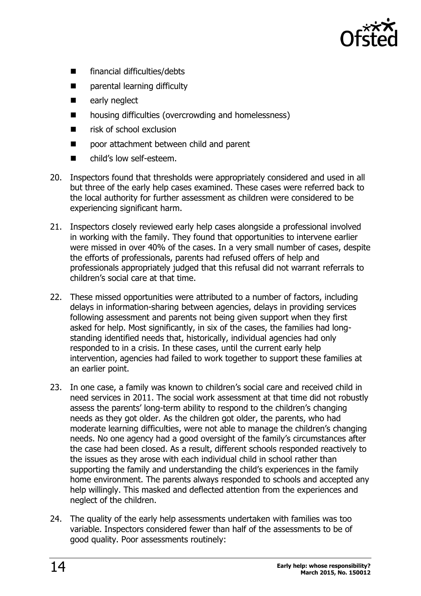

- financial difficulties/debts
- **E** parental learning difficulty
- early neglect
- housing difficulties (overcrowding and homelessness)
- $\blacksquare$  risk of school exclusion
- poor attachment between child and parent
- child's low self-esteem.
- 20. Inspectors found that thresholds were appropriately considered and used in all but three of the early help cases examined. These cases were referred back to the local authority for further assessment as children were considered to be experiencing significant harm.
- 21. Inspectors closely reviewed early help cases alongside a professional involved in working with the family. They found that opportunities to intervene earlier were missed in over 40% of the cases. In a very small number of cases, despite the efforts of professionals, parents had refused offers of help and professionals appropriately judged that this refusal did not warrant referrals to children's social care at that time.
- 22. These missed opportunities were attributed to a number of factors, including delays in information-sharing between agencies, delays in providing services following assessment and parents not being given support when they first asked for help. Most significantly, in six of the cases, the families had longstanding identified needs that, historically, individual agencies had only responded to in a crisis. In these cases, until the current early help intervention, agencies had failed to work together to support these families at an earlier point.
- 23. In one case, a family was known to children's social care and received child in need services in 2011. The social work assessment at that time did not robustly assess the parents' long-term ability to respond to the children's changing needs as they got older. As the children got older, the parents, who had moderate learning difficulties, were not able to manage the children's changing needs. No one agency had a good oversight of the family's circumstances after the case had been closed. As a result, different schools responded reactively to the issues as they arose with each individual child in school rather than supporting the family and understanding the child's experiences in the family home environment. The parents always responded to schools and accepted any help willingly. This masked and deflected attention from the experiences and neglect of the children.
- 24. The quality of the early help assessments undertaken with families was too variable. Inspectors considered fewer than half of the assessments to be of good quality. Poor assessments routinely: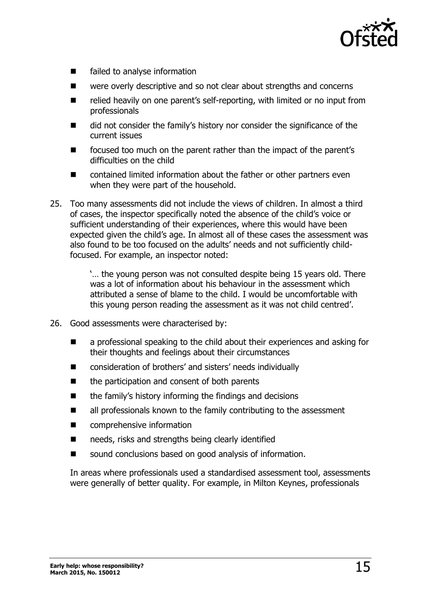

- failed to analyse information
- were overly descriptive and so not clear about strengths and concerns
- relied heavily on one parent's self-reporting, with limited or no input from professionals
- did not consider the family's history nor consider the significance of the current issues
- **EXECUTE:** focused too much on the parent rather than the impact of the parent's difficulties on the child
- contained limited information about the father or other partners even when they were part of the household.
- 25. Too many assessments did not include the views of children. In almost a third of cases, the inspector specifically noted the absence of the child's voice or sufficient understanding of their experiences, where this would have been expected given the child's age. In almost all of these cases the assessment was also found to be too focused on the adults' needs and not sufficiently childfocused. For example, an inspector noted:

'… the young person was not consulted despite being 15 years old. There was a lot of information about his behaviour in the assessment which attributed a sense of blame to the child. I would be uncomfortable with this young person reading the assessment as it was not child centred'.

- 26. Good assessments were characterised by:
	- **E** a professional speaking to the child about their experiences and asking for their thoughts and feelings about their circumstances
	- consideration of brothers' and sisters' needs individually
	- the participation and consent of both parents
	- $\blacksquare$  the family's history informing the findings and decisions
	- all professionals known to the family contributing to the assessment
	- comprehensive information
	- needs, risks and strengths being clearly identified
	- sound conclusions based on good analysis of information.

In areas where professionals used a standardised assessment tool, assessments were generally of better quality. For example, in Milton Keynes, professionals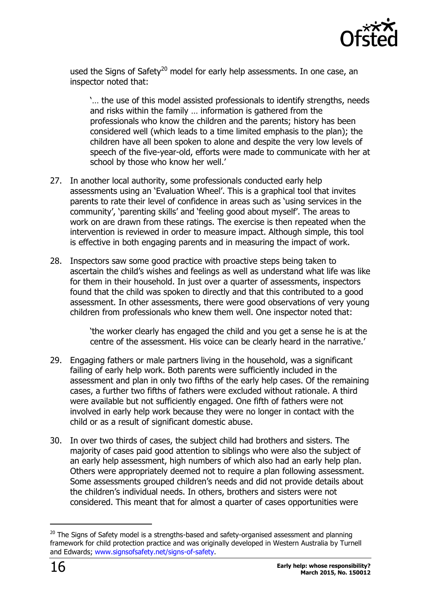

used the Signs of Safety<sup>20</sup> model for early help assessments. In one case, an inspector noted that:

'… the use of this model assisted professionals to identify strengths, needs and risks within the family … information is gathered from the professionals who know the children and the parents; history has been considered well (which leads to a time limited emphasis to the plan); the children have all been spoken to alone and despite the very low levels of speech of the five-year-old, efforts were made to communicate with her at school by those who know her well.'

- 27. In another local authority, some professionals conducted early help assessments using an 'Evaluation Wheel'. This is a graphical tool that invites parents to rate their level of confidence in areas such as 'using services in the community', 'parenting skills' and 'feeling good about myself'. The areas to work on are drawn from these ratings. The exercise is then repeated when the intervention is reviewed in order to measure impact. Although simple, this tool is effective in both engaging parents and in measuring the impact of work.
- 28. Inspectors saw some good practice with proactive steps being taken to ascertain the child's wishes and feelings as well as understand what life was like for them in their household. In just over a quarter of assessments, inspectors found that the child was spoken to directly and that this contributed to a good assessment. In other assessments, there were good observations of very young children from professionals who knew them well. One inspector noted that:

'the worker clearly has engaged the child and you get a sense he is at the centre of the assessment. His voice can be clearly heard in the narrative.'

- 29. Engaging fathers or male partners living in the household, was a significant failing of early help work. Both parents were sufficiently included in the assessment and plan in only two fifths of the early help cases. Of the remaining cases, a further two fifths of fathers were excluded without rationale. A third were available but not sufficiently engaged. One fifth of fathers were not involved in early help work because they were no longer in contact with the child or as a result of significant domestic abuse.
- 30. In over two thirds of cases, the subject child had brothers and sisters. The majority of cases paid good attention to siblings who were also the subject of an early help assessment, high numbers of which also had an early help plan. Others were appropriately deemed not to require a plan following assessment. Some assessments grouped children's needs and did not provide details about the children's individual needs. In others, brothers and sisters were not considered. This meant that for almost a quarter of cases opportunities were

 $\overline{a}$ 

 $20$  The Signs of Safety model is a strengths-based and safety-organised assessment and planning framework for child protection practice and was originally developed in Western Australia by Turnell and Edwards; [www.signsofsafety.net/signs-of-safety.](http://www.signsofsafety.net/signs-of-safety)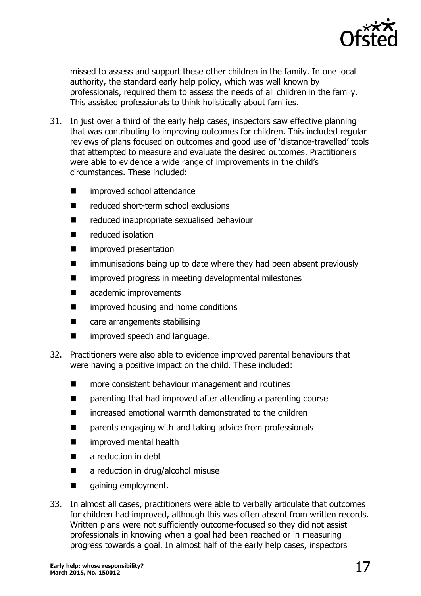

missed to assess and support these other children in the family. In one local authority, the standard early help policy, which was well known by professionals, required them to assess the needs of all children in the family. This assisted professionals to think holistically about families.

- 31. In just over a third of the early help cases, inspectors saw effective planning that was contributing to improving outcomes for children. This included regular reviews of plans focused on outcomes and good use of 'distance-travelled' tools that attempted to measure and evaluate the desired outcomes. Practitioners were able to evidence a wide range of improvements in the child's circumstances. These included:
	- improved school attendance
	- reduced short-term school exclusions
	- reduced inappropriate sexualised behaviour
	- reduced isolation
	- improved presentation
	- **I** immunisations being up to date where they had been absent previously
	- **n** improved progress in meeting developmental milestones
	- **E** academic improvements
	- **E** improved housing and home conditions
	- care arrangements stabilising
	- **E** improved speech and language.
- 32. Practitioners were also able to evidence improved parental behaviours that were having a positive impact on the child. These included:
	- more consistent behaviour management and routines
	- parenting that had improved after attending a parenting course
	- increased emotional warmth demonstrated to the children
	- parents engaging with and taking advice from professionals
	- **n** improved mental health
	- **a** reduction in debt
	- a reduction in drug/alcohol misuse
	- gaining employment.
- 33. In almost all cases, practitioners were able to verbally articulate that outcomes for children had improved, although this was often absent from written records. Written plans were not sufficiently outcome-focused so they did not assist professionals in knowing when a goal had been reached or in measuring progress towards a goal. In almost half of the early help cases, inspectors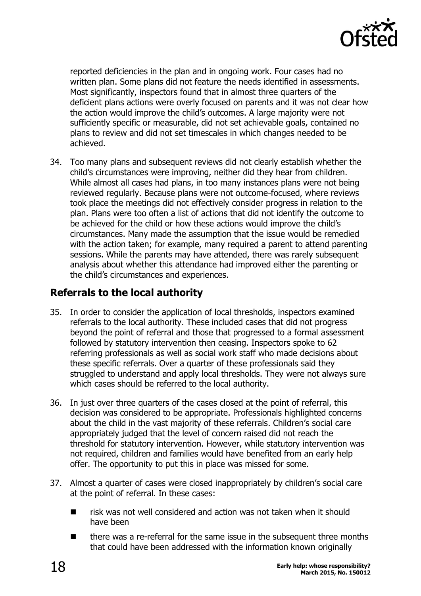

reported deficiencies in the plan and in ongoing work. Four cases had no written plan. Some plans did not feature the needs identified in assessments. Most significantly, inspectors found that in almost three quarters of the deficient plans actions were overly focused on parents and it was not clear how the action would improve the child's outcomes. A large majority were not sufficiently specific or measurable, did not set achievable goals, contained no plans to review and did not set timescales in which changes needed to be achieved.

34. Too many plans and subsequent reviews did not clearly establish whether the child's circumstances were improving, neither did they hear from children. While almost all cases had plans, in too many instances plans were not being reviewed regularly. Because plans were not outcome-focused, where reviews took place the meetings did not effectively consider progress in relation to the plan. Plans were too often a list of actions that did not identify the outcome to be achieved for the child or how these actions would improve the child's circumstances. Many made the assumption that the issue would be remedied with the action taken; for example, many required a parent to attend parenting sessions. While the parents may have attended, there was rarely subsequent analysis about whether this attendance had improved either the parenting or the child's circumstances and experiences.

#### <span id="page-17-0"></span>**Referrals to the local authority**

- 35. In order to consider the application of local thresholds, inspectors examined referrals to the local authority. These included cases that did not progress beyond the point of referral and those that progressed to a formal assessment followed by statutory intervention then ceasing. Inspectors spoke to 62 referring professionals as well as social work staff who made decisions about these specific referrals. Over a quarter of these professionals said they struggled to understand and apply local thresholds. They were not always sure which cases should be referred to the local authority.
- 36. In just over three quarters of the cases closed at the point of referral, this decision was considered to be appropriate. Professionals highlighted concerns about the child in the vast majority of these referrals. Children's social care appropriately judged that the level of concern raised did not reach the threshold for statutory intervention. However, while statutory intervention was not required, children and families would have benefited from an early help offer. The opportunity to put this in place was missed for some.
- 37. Almost a quarter of cases were closed inappropriately by children's social care at the point of referral. In these cases:
	- $\blacksquare$  risk was not well considered and action was not taken when it should have been
	- there was a re-referral for the same issue in the subsequent three months that could have been addressed with the information known originally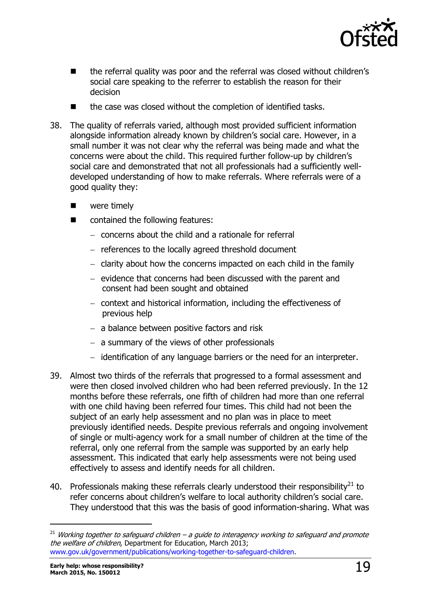

- the referral quality was poor and the referral was closed without children's social care speaking to the referrer to establish the reason for their decision
- the case was closed without the completion of identified tasks.
- 38. The quality of referrals varied, although most provided sufficient information alongside information already known by children's social care. However, in a small number it was not clear why the referral was being made and what the concerns were about the child. This required further follow-up by children's social care and demonstrated that not all professionals had a sufficiently welldeveloped understanding of how to make referrals. Where referrals were of a good quality they:
	- **Now** were timely
	- contained the following features:
		- concerns about the child and a rationale for referral
		- references to the locally agreed threshold document
		- $-$  clarity about how the concerns impacted on each child in the family
		- $-$  evidence that concerns had been discussed with the parent and consent had been sought and obtained
		- context and historical information, including the effectiveness of previous help
		- $-$  a balance between positive factors and risk
		- $-$  a summary of the views of other professionals
		- $-$  identification of any language barriers or the need for an interpreter.
- 39. Almost two thirds of the referrals that progressed to a formal assessment and were then closed involved children who had been referred previously. In the 12 months before these referrals, one fifth of children had more than one referral with one child having been referred four times. This child had not been the subject of an early help assessment and no plan was in place to meet previously identified needs. Despite previous referrals and ongoing involvement of single or multi-agency work for a small number of children at the time of the referral, only one referral from the sample was supported by an early help assessment. This indicated that early help assessments were not being used effectively to assess and identify needs for all children.
- 40. Professionals making these referrals clearly understood their responsibility<sup>21</sup> to refer concerns about children's welfare to local authority children's social care. They understood that this was the basis of good information-sharing. What was

 $\overline{a}$ 

 $21$  Working together to safeguard children – a guide to interagency working to safeguard and promote the welfare of children, Department for Education, March 2013; [www.gov.uk/government/publications/working-together-to-safeguard-children.](http://www.gov.uk/government/publications/working-together-to-safeguard-children)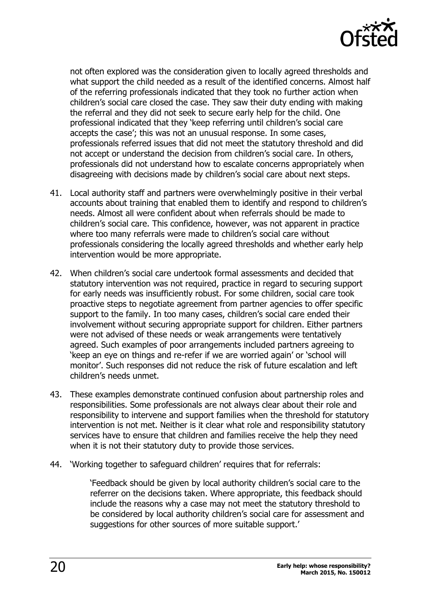

not often explored was the consideration given to locally agreed thresholds and what support the child needed as a result of the identified concerns. Almost half of the referring professionals indicated that they took no further action when children's social care closed the case. They saw their duty ending with making the referral and they did not seek to secure early help for the child. One professional indicated that they 'keep referring until children's social care accepts the case'; this was not an unusual response. In some cases, professionals referred issues that did not meet the statutory threshold and did not accept or understand the decision from children's social care. In others, professionals did not understand how to escalate concerns appropriately when disagreeing with decisions made by children's social care about next steps.

- 41. Local authority staff and partners were overwhelmingly positive in their verbal accounts about training that enabled them to identify and respond to children's needs. Almost all were confident about when referrals should be made to children's social care. This confidence, however, was not apparent in practice where too many referrals were made to children's social care without professionals considering the locally agreed thresholds and whether early help intervention would be more appropriate.
- 42. When children's social care undertook formal assessments and decided that statutory intervention was not required, practice in regard to securing support for early needs was insufficiently robust. For some children, social care took proactive steps to negotiate agreement from partner agencies to offer specific support to the family. In too many cases, children's social care ended their involvement without securing appropriate support for children. Either partners were not advised of these needs or weak arrangements were tentatively agreed. Such examples of poor arrangements included partners agreeing to 'keep an eye on things and re-refer if we are worried again' or 'school will monitor'. Such responses did not reduce the risk of future escalation and left children's needs unmet.
- 43. These examples demonstrate continued confusion about partnership roles and responsibilities. Some professionals are not always clear about their role and responsibility to intervene and support families when the threshold for statutory intervention is not met. Neither is it clear what role and responsibility statutory services have to ensure that children and families receive the help they need when it is not their statutory duty to provide those services.
- 44. 'Working together to safeguard children' requires that for referrals:

'Feedback should be given by local authority children's social care to the referrer on the decisions taken. Where appropriate, this feedback should include the reasons why a case may not meet the statutory threshold to be considered by local authority children's social care for assessment and suggestions for other sources of more suitable support.'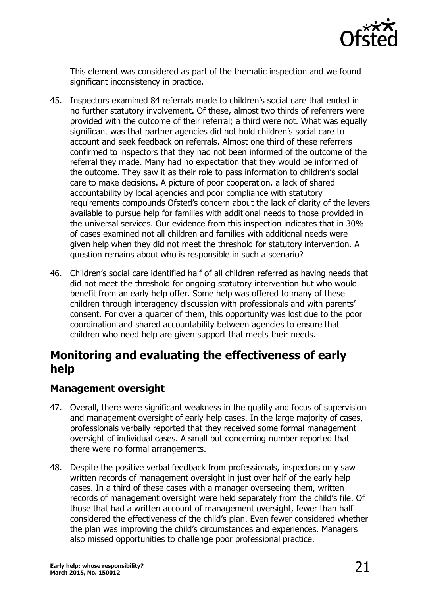

This element was considered as part of the thematic inspection and we found significant inconsistency in practice.

- 45. Inspectors examined 84 referrals made to children's social care that ended in no further statutory involvement. Of these, almost two thirds of referrers were provided with the outcome of their referral; a third were not. What was equally significant was that partner agencies did not hold children's social care to account and seek feedback on referrals. Almost one third of these referrers confirmed to inspectors that they had not been informed of the outcome of the referral they made. Many had no expectation that they would be informed of the outcome. They saw it as their role to pass information to children's social care to make decisions. A picture of poor cooperation, a lack of shared accountability by local agencies and poor compliance with statutory requirements compounds Ofsted's concern about the lack of clarity of the levers available to pursue help for families with additional needs to those provided in the universal services. Our evidence from this inspection indicates that in 30% of cases examined not all children and families with additional needs were given help when they did not meet the threshold for statutory intervention. A question remains about who is responsible in such a scenario?
- 46. Children's social care identified half of all children referred as having needs that did not meet the threshold for ongoing statutory intervention but who would benefit from an early help offer. Some help was offered to many of these children through interagency discussion with professionals and with parents' consent. For over a quarter of them, this opportunity was lost due to the poor coordination and shared accountability between agencies to ensure that children who need help are given support that meets their needs.

## <span id="page-20-0"></span>**Monitoring and evaluating the effectiveness of early help**

#### <span id="page-20-1"></span>**Management oversight**

- 47. Overall, there were significant weakness in the quality and focus of supervision and management oversight of early help cases. In the large majority of cases, professionals verbally reported that they received some formal management oversight of individual cases. A small but concerning number reported that there were no formal arrangements.
- 48. Despite the positive verbal feedback from professionals, inspectors only saw written records of management oversight in just over half of the early help cases. In a third of these cases with a manager overseeing them, written records of management oversight were held separately from the child's file. Of those that had a written account of management oversight, fewer than half considered the effectiveness of the child's plan. Even fewer considered whether the plan was improving the child's circumstances and experiences. Managers also missed opportunities to challenge poor professional practice.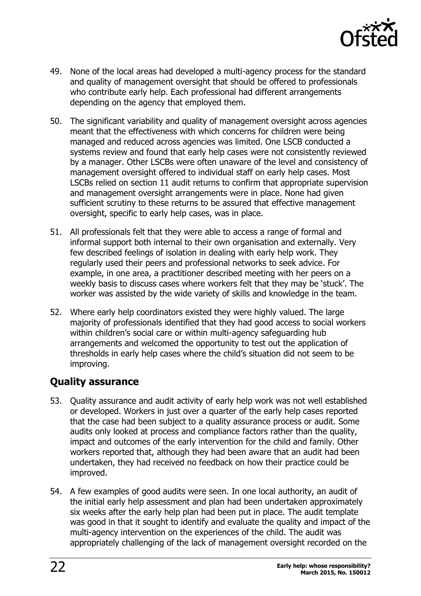

- 49. None of the local areas had developed a multi-agency process for the standard and quality of management oversight that should be offered to professionals who contribute early help. Each professional had different arrangements depending on the agency that employed them.
- 50. The significant variability and quality of management oversight across agencies meant that the effectiveness with which concerns for children were being managed and reduced across agencies was limited. One LSCB conducted a systems review and found that early help cases were not consistently reviewed by a manager. Other LSCBs were often unaware of the level and consistency of management oversight offered to individual staff on early help cases. Most LSCBs relied on section 11 audit returns to confirm that appropriate supervision and management oversight arrangements were in place. None had given sufficient scrutiny to these returns to be assured that effective management oversight, specific to early help cases, was in place.
- 51. All professionals felt that they were able to access a range of formal and informal support both internal to their own organisation and externally. Very few described feelings of isolation in dealing with early help work. They regularly used their peers and professional networks to seek advice. For example, in one area, a practitioner described meeting with her peers on a weekly basis to discuss cases where workers felt that they may be 'stuck'. The worker was assisted by the wide variety of skills and knowledge in the team.
- 52. Where early help coordinators existed they were highly valued. The large majority of professionals identified that they had good access to social workers within children's social care or within multi-agency safeguarding hub arrangements and welcomed the opportunity to test out the application of thresholds in early help cases where the child's situation did not seem to be improving.

### <span id="page-21-0"></span>**Quality assurance**

- 53. Quality assurance and audit activity of early help work was not well established or developed. Workers in just over a quarter of the early help cases reported that the case had been subject to a quality assurance process or audit. Some audits only looked at process and compliance factors rather than the quality, impact and outcomes of the early intervention for the child and family. Other workers reported that, although they had been aware that an audit had been undertaken, they had received no feedback on how their practice could be improved.
- 54. A few examples of good audits were seen. In one local authority, an audit of the initial early help assessment and plan had been undertaken approximately six weeks after the early help plan had been put in place. The audit template was good in that it sought to identify and evaluate the quality and impact of the multi-agency intervention on the experiences of the child. The audit was appropriately challenging of the lack of management oversight recorded on the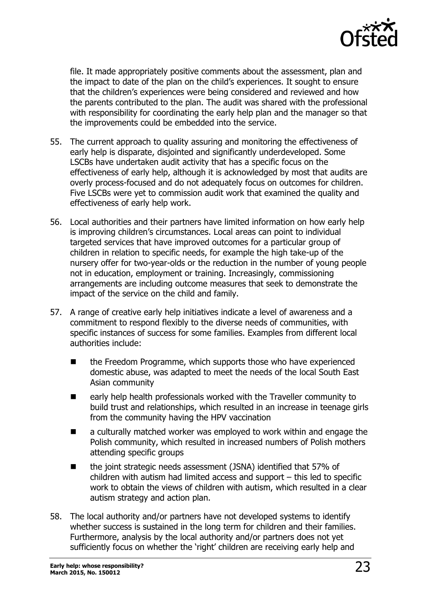

file. It made appropriately positive comments about the assessment, plan and the impact to date of the plan on the child's experiences. It sought to ensure that the children's experiences were being considered and reviewed and how the parents contributed to the plan. The audit was shared with the professional with responsibility for coordinating the early help plan and the manager so that the improvements could be embedded into the service.

- 55. The current approach to quality assuring and monitoring the effectiveness of early help is disparate, disjointed and significantly underdeveloped. Some LSCBs have undertaken audit activity that has a specific focus on the effectiveness of early help, although it is acknowledged by most that audits are overly process-focused and do not adequately focus on outcomes for children. Five LSCBs were yet to commission audit work that examined the quality and effectiveness of early help work.
- 56. Local authorities and their partners have limited information on how early help is improving children's circumstances. Local areas can point to individual targeted services that have improved outcomes for a particular group of children in relation to specific needs, for example the high take-up of the nursery offer for two-year-olds or the reduction in the number of young people not in education, employment or training. Increasingly, commissioning arrangements are including outcome measures that seek to demonstrate the impact of the service on the child and family.
- 57. A range of creative early help initiatives indicate a level of awareness and a commitment to respond flexibly to the diverse needs of communities, with specific instances of success for some families. Examples from different local authorities include:
	- the Freedom Programme, which supports those who have experienced domestic abuse, was adapted to meet the needs of the local South East Asian community
	- early help health professionals worked with the Traveller community to build trust and relationships, which resulted in an increase in teenage girls from the community having the HPV vaccination
	- a culturally matched worker was employed to work within and engage the Polish community, which resulted in increased numbers of Polish mothers attending specific groups
	- the joint strategic needs assessment (JSNA) identified that 57% of children with autism had limited access and support – this led to specific work to obtain the views of children with autism, which resulted in a clear autism strategy and action plan.
- 58. The local authority and/or partners have not developed systems to identify whether success is sustained in the long term for children and their families. Furthermore, analysis by the local authority and/or partners does not yet sufficiently focus on whether the 'right' children are receiving early help and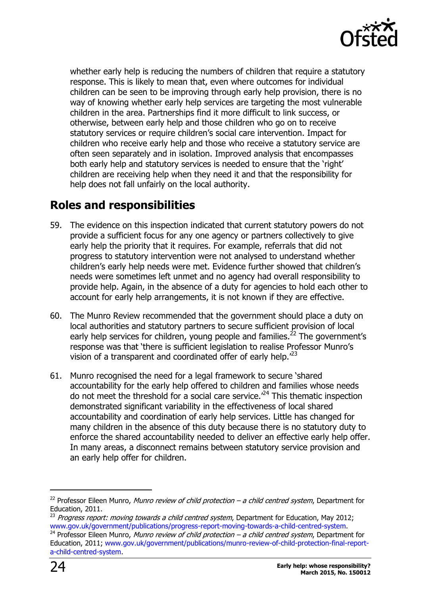

whether early help is reducing the numbers of children that require a statutory response. This is likely to mean that, even where outcomes for individual children can be seen to be improving through early help provision, there is no way of knowing whether early help services are targeting the most vulnerable children in the area. Partnerships find it more difficult to link success, or otherwise, between early help and those children who go on to receive statutory services or require children's social care intervention. Impact for children who receive early help and those who receive a statutory service are often seen separately and in isolation. Improved analysis that encompasses both early help and statutory services is needed to ensure that the 'right' children are receiving help when they need it and that the responsibility for help does not fall unfairly on the local authority.

## <span id="page-23-0"></span>**Roles and responsibilities**

- 59. The evidence on this inspection indicated that current statutory powers do not provide a sufficient focus for any one agency or partners collectively to give early help the priority that it requires. For example, referrals that did not progress to statutory intervention were not analysed to understand whether children's early help needs were met. Evidence further showed that children's needs were sometimes left unmet and no agency had overall responsibility to provide help. Again, in the absence of a duty for agencies to hold each other to account for early help arrangements, it is not known if they are effective.
- 60. The Munro Review recommended that the government should place a duty on local authorities and statutory partners to secure sufficient provision of local early help services for children, young people and families.<sup>22</sup> The government's response was that 'there is sufficient legislation to realise Professor Munro's vision of a transparent and coordinated offer of early help.<sup>123</sup>
- 61. Munro recognised the need for a legal framework to secure 'shared accountability for the early help offered to children and families whose needs do not meet the threshold for a social care service. $^{24}$  This thematic inspection demonstrated significant variability in the effectiveness of local shared accountability and coordination of early help services. Little has changed for many children in the absence of this duty because there is no statutory duty to enforce the shared accountability needed to deliver an effective early help offer. In many areas, a disconnect remains between statutory service provision and an early help offer for children.

-

 $^{22}$  Professor Eileen Munro, Munro review of child protection – a child centred system, Department for Education, 2011.

 $^{23}$  Progress report: moving towards a child centred system, Department for Education, May 2012; [www.gov.uk/government/publications/progress-report-moving-towards-a-child-centred-system.](file:///C:/Users/UDurojaiye/AppData/Local/Microsoft/Windows/Temporary%20Internet%20Files/Content.Outlook/AHDZ1NCH/www.gov.uk/government/publications/progress-report-moving-towards-a-child-centred-system)

 $^{24}$  Professor Eileen Munro, Munro review of child protection – a child centred system, Department for Education, 2011; [www.gov.uk/government/publications/munro-review-of-child-protection-final-report](http://www.gov.uk/government/publications/munro-review-of-child-protection-final-report-a-child-centred-system)[a-child-centred-system.](http://www.gov.uk/government/publications/munro-review-of-child-protection-final-report-a-child-centred-system)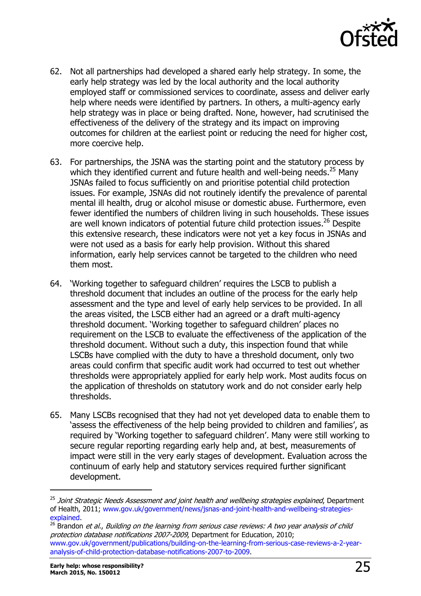

- 62. Not all partnerships had developed a shared early help strategy. In some, the early help strategy was led by the local authority and the local authority employed staff or commissioned services to coordinate, assess and deliver early help where needs were identified by partners. In others, a multi-agency early help strategy was in place or being drafted. None, however, had scrutinised the effectiveness of the delivery of the strategy and its impact on improving outcomes for children at the earliest point or reducing the need for higher cost, more coercive help.
- 63. For partnerships, the JSNA was the starting point and the statutory process by which they identified current and future health and well-being needs.<sup>25</sup> Many JSNAs failed to focus sufficiently on and prioritise potential child protection issues. For example, JSNAs did not routinely identify the prevalence of parental mental ill health, drug or alcohol misuse or domestic abuse. Furthermore, even fewer identified the numbers of children living in such households. These issues are well known indicators of potential future child protection issues.<sup>26</sup> Despite this extensive research, these indicators were not yet a key focus in JSNAs and were not used as a basis for early help provision. Without this shared information, early help services cannot be targeted to the children who need them most.
- 64. 'Working together to safeguard children' requires the LSCB to publish a threshold document that includes an outline of the process for the early help assessment and the type and level of early help services to be provided. In all the areas visited, the LSCB either had an agreed or a draft multi-agency threshold document. 'Working together to safeguard children' places no requirement on the LSCB to evaluate the effectiveness of the application of the threshold document. Without such a duty, this inspection found that while LSCBs have complied with the duty to have a threshold document, only two areas could confirm that specific audit work had occurred to test out whether thresholds were appropriately applied for early help work. Most audits focus on the application of thresholds on statutory work and do not consider early help thresholds.
- 65. Many LSCBs recognised that they had not yet developed data to enable them to 'assess the effectiveness of the help being provided to children and families', as required by 'Working together to safeguard children'. Many were still working to secure regular reporting regarding early help and, at best, measurements of impact were still in the very early stages of development. Evaluation across the continuum of early help and statutory services required further significant development.

-

<sup>&</sup>lt;sup>25</sup> Joint Strategic Needs Assessment and joint health and wellbeing strategies explained, Department of Health, 2011; [www.gov.uk/government/news/jsnas-and-joint-health-and-wellbeing-strategies](file:///C:/Users/UDurojaiye/AppData/Local/Microsoft/Windows/Temporary%20Internet%20Files/Content.Outlook/AHDZ1NCH/www.gov.uk/government/news/jsnas-and-joint-health-and-wellbeing-strategies-explained)[explained.](file:///C:/Users/UDurojaiye/AppData/Local/Microsoft/Windows/Temporary%20Internet%20Files/Content.Outlook/AHDZ1NCH/www.gov.uk/government/news/jsnas-and-joint-health-and-wellbeing-strategies-explained)

 $26$  Brandon *et al., Building on the learning from serious case reviews: A two year analysis of child* protection database notifications 2007-2009, Department for Education, 2010; [www.gov.uk/government/publications/building-on-the-learning-from-serious-case-reviews-a-2-year](file:///C:/Users/UDurojaiye/AppData/Local/Microsoft/Windows/Temporary%20Internet%20Files/Content.Outlook/AHDZ1NCH/www.gov.uk/government/publications/building-on-the-learning-from-serious-case-reviews-a-2-year-analysis-of-child-protection-database-notifications-2007-to-2009)[analysis-of-child-protection-database-notifications-2007-to-2009.](file:///C:/Users/UDurojaiye/AppData/Local/Microsoft/Windows/Temporary%20Internet%20Files/Content.Outlook/AHDZ1NCH/www.gov.uk/government/publications/building-on-the-learning-from-serious-case-reviews-a-2-year-analysis-of-child-protection-database-notifications-2007-to-2009)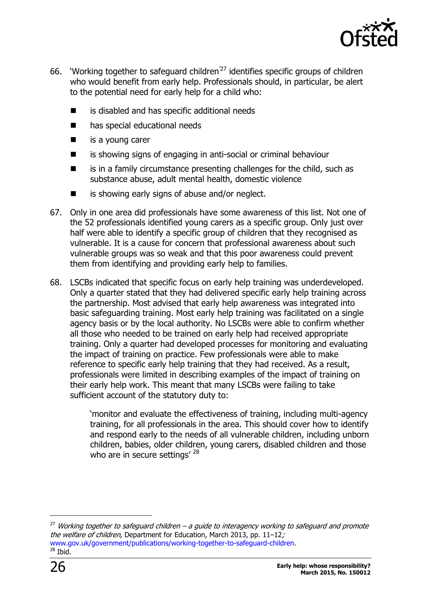

- 66. 'Working together to safeguard children'<sup>27</sup> identifies specific groups of children who would benefit from early help. Professionals should, in particular, be alert to the potential need for early help for a child who:
	- is disabled and has specific additional needs
	- **n** has special educational needs
	- $\blacksquare$  is a young carer
	- is showing signs of engaging in anti-social or criminal behaviour
	- is in a family circumstance presenting challenges for the child, such as substance abuse, adult mental health, domestic violence
	- is showing early signs of abuse and/or neglect.
- 67. Only in one area did professionals have some awareness of this list. Not one of the 52 professionals identified young carers as a specific group. Only just over half were able to identify a specific group of children that they recognised as vulnerable. It is a cause for concern that professional awareness about such vulnerable groups was so weak and that this poor awareness could prevent them from identifying and providing early help to families.
- 68. LSCBs indicated that specific focus on early help training was underdeveloped. Only a quarter stated that they had delivered specific early help training across the partnership. Most advised that early help awareness was integrated into basic safeguarding training. Most early help training was facilitated on a single agency basis or by the local authority. No LSCBs were able to confirm whether all those who needed to be trained on early help had received appropriate training. Only a quarter had developed processes for monitoring and evaluating the impact of training on practice. Few professionals were able to make reference to specific early help training that they had received. As a result, professionals were limited in describing examples of the impact of training on their early help work. This meant that many LSCBs were failing to take sufficient account of the statutory duty to:

'monitor and evaluate the effectiveness of training, including multi-agency training, for all professionals in the area. This should cover how to identify and respond early to the needs of all vulnerable children, including unborn children, babies, older children, young carers, disabled children and those who are in secure settings' <sup>28</sup>

j

<sup>&</sup>lt;sup>27</sup> Working together to safeguard children – a guide to interagency working to safeguard and promote the welfare of children, Department for Education, March 2013, pp. 11-12; [www.gov.uk/government/publications/working-together-to-safeguard-children.](http://www.gov.uk/government/publications/working-together-to-safeguard-children)  $28$  Ibid.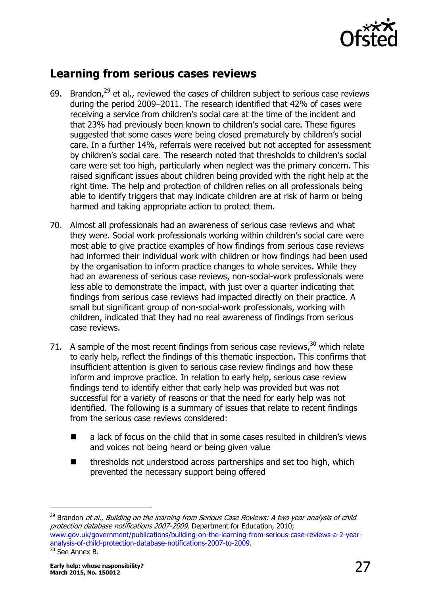

## <span id="page-26-0"></span>**Learning from serious cases reviews**

- 69. Brandon, $^{29}$  et al., reviewed the cases of children subject to serious case reviews during the period 2009–2011. The research identified that 42% of cases were receiving a service from children's social care at the time of the incident and that 23% had previously been known to children's social care. These figures suggested that some cases were being closed prematurely by children's social care. In a further 14%, referrals were received but not accepted for assessment by children's social care. The research noted that thresholds to children's social care were set too high, particularly when neglect was the primary concern. This raised significant issues about children being provided with the right help at the right time. The help and protection of children relies on all professionals being able to identify triggers that may indicate children are at risk of harm or being harmed and taking appropriate action to protect them.
- 70. Almost all professionals had an awareness of serious case reviews and what they were. Social work professionals working within children's social care were most able to give practice examples of how findings from serious case reviews had informed their individual work with children or how findings had been used by the organisation to inform practice changes to whole services. While they had an awareness of serious case reviews, non-social-work professionals were less able to demonstrate the impact, with just over a quarter indicating that findings from serious case reviews had impacted directly on their practice. A small but significant group of non-social-work professionals, working with children, indicated that they had no real awareness of findings from serious case reviews.
- 71. A sample of the most recent findings from serious case reviews, $^{30}$  which relate to early help, reflect the findings of this thematic inspection. This confirms that insufficient attention is given to serious case review findings and how these inform and improve practice. In relation to early help, serious case review findings tend to identify either that early help was provided but was not successful for a variety of reasons or that the need for early help was not identified. The following is a summary of issues that relate to recent findings from the serious case reviews considered:
	- a lack of focus on the child that in some cases resulted in children's views and voices not being heard or being given value
	- thresholds not understood across partnerships and set too high, which prevented the necessary support being offered

j

<sup>&</sup>lt;sup>29</sup> Brandon *et al., Building on the learning from Serious Case Reviews: A two year analysis of child* protection database notifications 2007-2009, Department for Education, 2010; [www.gov.uk/government/publications/building-on-the-learning-from-serious-case-reviews-a-2-year](http://www.gov.uk/government/publications/building-on-the-learning-from-serious-case-reviews-a-2-year-analysis-of-child-protection-database-notifications-2007-to-2009)[analysis-of-child-protection-database-notifications-2007-to-2009.](http://www.gov.uk/government/publications/building-on-the-learning-from-serious-case-reviews-a-2-year-analysis-of-child-protection-database-notifications-2007-to-2009) <sup>30</sup> See Annex B.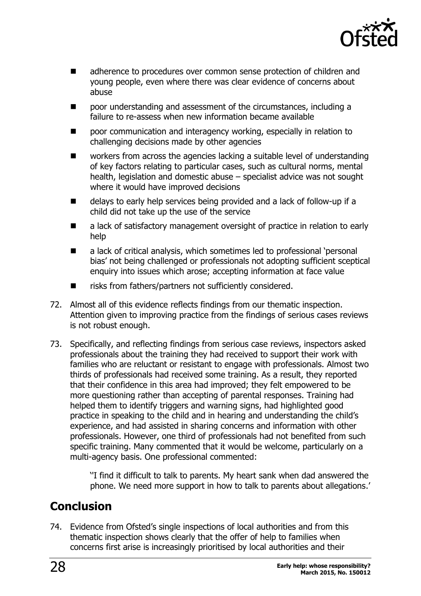

- adherence to procedures over common sense protection of children and young people, even where there was clear evidence of concerns about abuse
- poor understanding and assessment of the circumstances, including a failure to re-assess when new information became available
- poor communication and interagency working, especially in relation to challenging decisions made by other agencies
- workers from across the agencies lacking a suitable level of understanding of key factors relating to particular cases, such as cultural norms, mental health, legislation and domestic abuse – specialist advice was not sought where it would have improved decisions
- delays to early help services being provided and a lack of follow-up if a child did not take up the use of the service
- a lack of satisfactory management oversight of practice in relation to early help
- a lack of critical analysis, which sometimes led to professional 'personal bias' not being challenged or professionals not adopting sufficient sceptical enquiry into issues which arose; accepting information at face value
- risks from fathers/partners not sufficiently considered.
- 72. Almost all of this evidence reflects findings from our thematic inspection. Attention given to improving practice from the findings of serious cases reviews is not robust enough.
- 73. Specifically, and reflecting findings from serious case reviews, inspectors asked professionals about the training they had received to support their work with families who are reluctant or resistant to engage with professionals. Almost two thirds of professionals had received some training. As a result, they reported that their confidence in this area had improved; they felt empowered to be more questioning rather than accepting of parental responses. Training had helped them to identify triggers and warning signs, had highlighted good practice in speaking to the child and in hearing and understanding the child's experience, and had assisted in sharing concerns and information with other professionals. However, one third of professionals had not benefited from such specific training. Many commented that it would be welcome, particularly on a multi-agency basis. One professional commented:

''I find it difficult to talk to parents. My heart sank when dad answered the phone. We need more support in how to talk to parents about allegations.'

## <span id="page-27-0"></span>**Conclusion**

74. Evidence from Ofsted's single inspections of local authorities and from this thematic inspection shows clearly that the offer of help to families when concerns first arise is increasingly prioritised by local authorities and their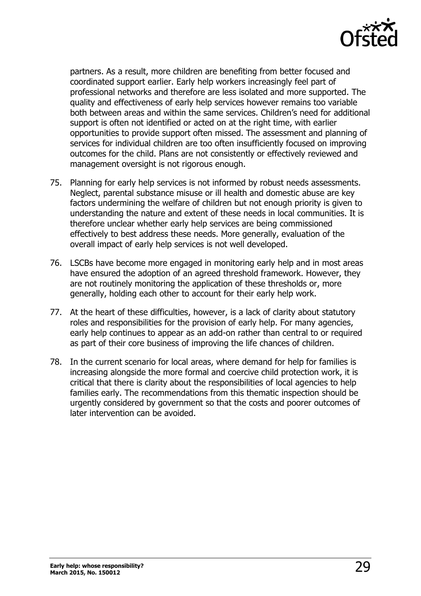

partners. As a result, more children are benefiting from better focused and coordinated support earlier. Early help workers increasingly feel part of professional networks and therefore are less isolated and more supported. The quality and effectiveness of early help services however remains too variable both between areas and within the same services. Children's need for additional support is often not identified or acted on at the right time, with earlier opportunities to provide support often missed. The assessment and planning of services for individual children are too often insufficiently focused on improving outcomes for the child. Plans are not consistently or effectively reviewed and management oversight is not rigorous enough.

- 75. Planning for early help services is not informed by robust needs assessments. Neglect, parental substance misuse or ill health and domestic abuse are key factors undermining the welfare of children but not enough priority is given to understanding the nature and extent of these needs in local communities. It is therefore unclear whether early help services are being commissioned effectively to best address these needs. More generally, evaluation of the overall impact of early help services is not well developed.
- 76. LSCBs have become more engaged in monitoring early help and in most areas have ensured the adoption of an agreed threshold framework. However, they are not routinely monitoring the application of these thresholds or, more generally, holding each other to account for their early help work.
- 77. At the heart of these difficulties, however, is a lack of clarity about statutory roles and responsibilities for the provision of early help. For many agencies, early help continues to appear as an add-on rather than central to or required as part of their core business of improving the life chances of children.
- 78. In the current scenario for local areas, where demand for help for families is increasing alongside the more formal and coercive child protection work, it is critical that there is clarity about the responsibilities of local agencies to help families early. The recommendations from this thematic inspection should be urgently considered by government so that the costs and poorer outcomes of later intervention can be avoided.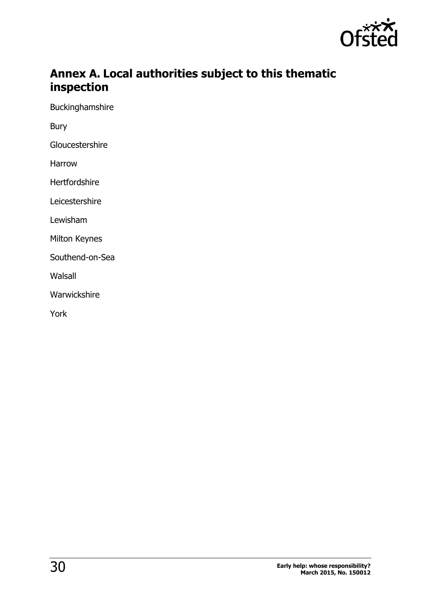

## <span id="page-29-0"></span>**Annex A. Local authorities subject to this thematic inspection**

Buckinghamshire

Bury

**Gloucestershire** 

Harrow

Hertfordshire

Leicestershire

Lewisham

Milton Keynes

Southend-on-Sea

Walsall

Warwickshire

York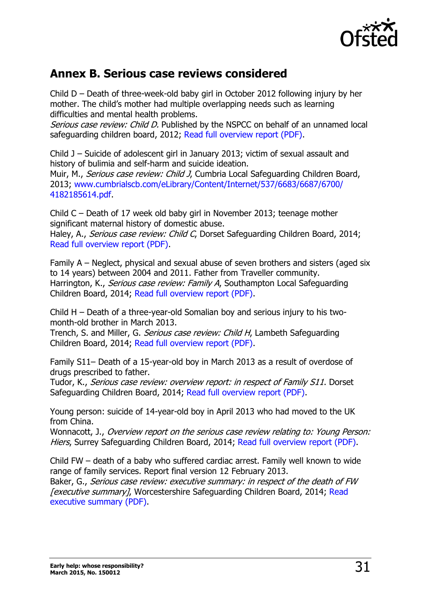

## <span id="page-30-0"></span>**Annex B. Serious case reviews considered**

Child D – Death of three-week-old baby girl in October 2012 following injury by her mother. The child's mother had multiple overlapping needs such as learning difficulties and mental health problems.

Serious case review: Child D. Published by the NSPCC on behalf of an unnamed local safeguarding children board, 2012; [Read full overview report \(PDF\).](http://library.nspcc.org.uk/HeritageScripts/Hapi.dll/filetransfer/2014ChildDOverview.pdf?filename=CC57914C9BE9AFA3850E80BBAB664DA904092311472EE086751F0F88943BCE57581F67363F865651D5AECB129E69B1485AE1E7544E357BABE7854435669513602AD02A88131595338036B9884782EE6DE631344BF49C10C20F7B0CA144FF08A4053619948AE86BD341183C2894&DataSetName=HERITAGE)

Child J – Suicide of adolescent girl in January 2013; victim of sexual assault and history of bulimia and self-harm and suicide ideation.

Muir, M., Serious case review: Child J, Cumbria Local Safeguarding Children Board, 2013; [www.cumbrialscb.com/eLibrary/Content/Internet/537/6683/6687/6700/](http://www.cumbrialscb.com/eLibrary/Content/Internet/537/6683/6687/6700/%204182185614.pdf) [4182185614.pdf.](http://www.cumbrialscb.com/eLibrary/Content/Internet/537/6683/6687/6700/%204182185614.pdf)

Child C – Death of 17 week old baby girl in November 2013; teenage mother significant maternal history of domestic abuse.

Haley, A., Serious case review: Child C, Dorset Safeguarding Children Board, 2014; [Read full overview report \(PDF\).](http://library.nspcc.org.uk/HeritageScripts/Hapi.dll/filetransfer/2014southgloucestershirechildcoverview.pdf?filename=AA58F75CEDE68892A722BD91FD2262D1787E5F66037DCA89651F5ED2BA7D89311A353B626FC61241A3DF9A45C376BB4E0BBCC35B53652D8DA6C1107330C839207F8276A217189A38B21CBD9B5C91F026E17B2207343D60ADD0E3050A676D1B5AF556B1C859720E19E6EFEC&DataSetName=HERITAGE)

Family A – Neglect, physical and sexual abuse of seven brothers and sisters (aged six to 14 years) between 2004 and 2011. Father from Traveller community. Harrington, K., Serious case review: Family A, Southampton Local Safeguarding Children Board, 2014; [Read full overview report \(PDF\).](http://library.nspcc.org.uk/HeritageScripts/Hapi.dll/filetransfer/2014SouthamptonFamilyAOverview.pdf?filename=CC57914C9BE9AFA3850E80BBAB664DA904092311472EE086751F0F88943BCE57581F67363F865651D5AECB129E69B1485AE1E7544E357BABE7854435669513602AD02A9814098D3FA514BF995A9AC169FC762856D37E6FA1EB652C3473FDFFFEDBBD4A2A5B0C5C630ADAEAECFA2AD511D6A7F8B23F1C6B2FB6&DataSetName=HERITAGE)

Child H – Death of a three-year-old Somalian boy and serious injury to his twomonth-old brother in March 2013.

Trench, S. and Miller, G. Serious case review: Child H, Lambeth Safeguarding Children Board, 2014; [Read full overview report \(PDF\).](http://library.nspcc.org.uk/HeritageScripts/Hapi.dll/filetransfer/2014LambethChildHOverview.pdf?filename=CC57914C9BE9AFA3850E80BBAB664DA904092311472EE0A6751F0F88943BCE57581F67363F865651D5AEEB129E69B1485AE1E7746E357BABE7854435669513602AD02A871A119B32B0118C855C98E340DE69215DE4587CB3B76321379681914CD4B10F0ABFF68E8FCCE9D16CA60876BCE55685C4&DataSetName=HERITAGE)

Family S11– Death of a 15-year-old boy in March 2013 as a result of overdose of drugs prescribed to father.

Tudor, K., Serious case review: overview report: in respect of Family S11. Dorset Safeguarding Children Board, 2014; [Read full overview report \(PDF\).](http://library.nspcc.org.uk/HeritageScripts/Hapi.dll/filetransfer/2014DorsetFamilyS11Overview.pdf?filename=CC57914C9BE9AFA3850E80BBAB664DA904092311472EE0A6751F0F88943BCE57581F67363F865651D5AEEB129E69B1485AE1E7746E357BABE7854435669513602AD02A8F140E8A32B03FAE805C98FE5BA02E0B59F7436FADFC646B2160B5339E8C109603292537B4F9843E367CFB1F7F22EF349F08AB&DataSetName=HERITAGE)

Young person: suicide of 14-year-old boy in April 2013 who had moved to the UK from China.

Wonnacott, J., Overview report on the serious case review relating to: Young Person: Hiers, Surrey Safeguarding Children Board, 2014; [Read full overview report \(PDF\).](http://library.nspcc.org.uk/HeritageScripts/Hapi.dll/filetransfer/2014SurreyHiersOverview.pdf?filename=CC57914C9BE9AFA3850E80BBAB664DA904092311472EE0A6751F0F88943BCE57581F67363F865651D5AEEB129E69B1485AE1E7746E357BABE7854435669513602AD02A980E0E8B32BD31A6884787C87EF46D3246F74637B4FD75CFAE2320E6D34DB80AE6BBE79C979CA1E88658CAAE54B4D7&DataSetName=HERITAGE)

Child FW – death of a baby who suffered cardiac arrest. Family well known to wide range of family services. Report final version 12 February 2013.

Baker, G., Serious case review: executive summary: in respect of the death of FW **[executive summary], Worcestershire Safeguarding Children Board, 2014; Read** [executive summary \(PDF\).](http://library.nspcc.org.uk/HeritageScripts/Hapi.dll/filetransfer/2013WorcestershireFWExecutiveSummary.pdf?filename=CC57914C9BE9AFA3850E80BBAB664DA904092311472EE086751F0F88943BCE57581F67363F865651D5AEEB129E69B1485AE1E7746E357BABE7854432669513602AD02D9C140E9A32B70DAA9F469CEE7AF459136AEA547AB1ED7A333457A6E2F7DC8A8664A90173559834A38F77743C5D17B84CA56E128108430F0DF8F4143F&DataSetName=HERITAGE)